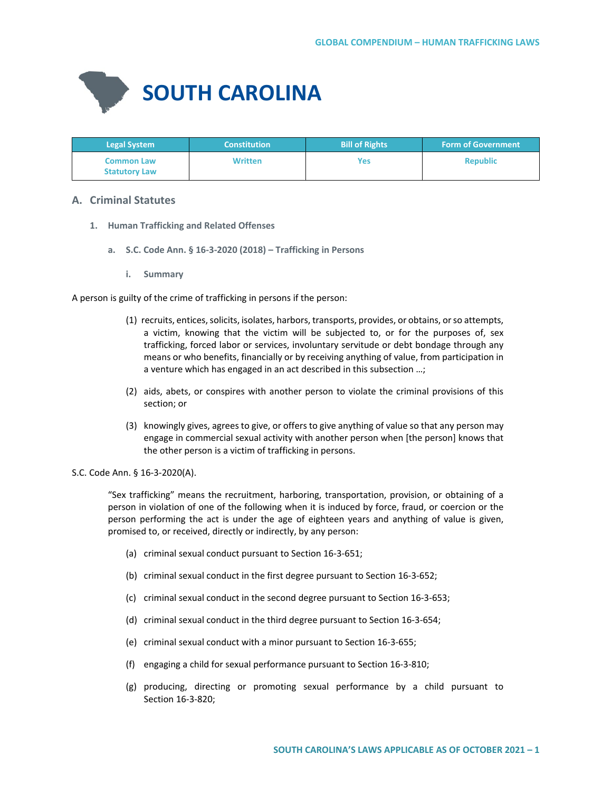

| <b>Legal System</b>                       | <b>Constitution</b> | <b>Bill of Rights</b> | <b>Form of Government</b> |
|-------------------------------------------|---------------------|-----------------------|---------------------------|
| <b>Common Law</b><br><b>Statutory Law</b> | <b>Written</b>      | Yes                   | <b>Republic</b>           |

## **A. Criminal Statutes**

- **1. Human Trafficking and Related Offenses**
	- **a. S.C. Code Ann. § 16-3-2020 (2018) – Trafficking in Persons**
		- **i. Summary**

A person is guilty of the crime of trafficking in persons if the person:

- (1) recruits, entices, solicits, isolates, harbors, transports, provides, or obtains, or so attempts, a victim, knowing that the victim will be subjected to, or for the purposes of, sex trafficking, forced labor or services, involuntary servitude or debt bondage through any means or who benefits, financially or by receiving anything of value, from participation in a venture which has engaged in an act described in this subsection …;
- (2) aids, abets, or conspires with another person to violate the criminal provisions of this section; or
- (3) knowingly gives, agrees to give, or offers to give anything of value so that any person may engage in commercial sexual activity with another person when [the person] knows that the other person is a victim of trafficking in persons.

S.C. Code Ann. § 16-3-2020(A).

"Sex trafficking" means the recruitment, harboring, transportation, provision, or obtaining of a person in violation of one of the following when it is induced by force, fraud, or coercion or the person performing the act is under the age of eighteen years and anything of value is given, promised to, or received, directly or indirectly, by any person:

- (a) criminal sexual conduct pursuant to Section 16-3-651;
- (b) criminal sexual conduct in the first degree pursuant to Section 16-3-652;
- (c) criminal sexual conduct in the second degree pursuant to Section 16-3-653;
- (d) criminal sexual conduct in the third degree pursuant to Section 16-3-654;
- (e) criminal sexual conduct with a minor pursuant to Section 16-3-655;
- (f) engaging a child for sexual performance pursuant to Section 16-3-810;
- (g) producing, directing or promoting sexual performance by a child pursuant to Section 16-3-820;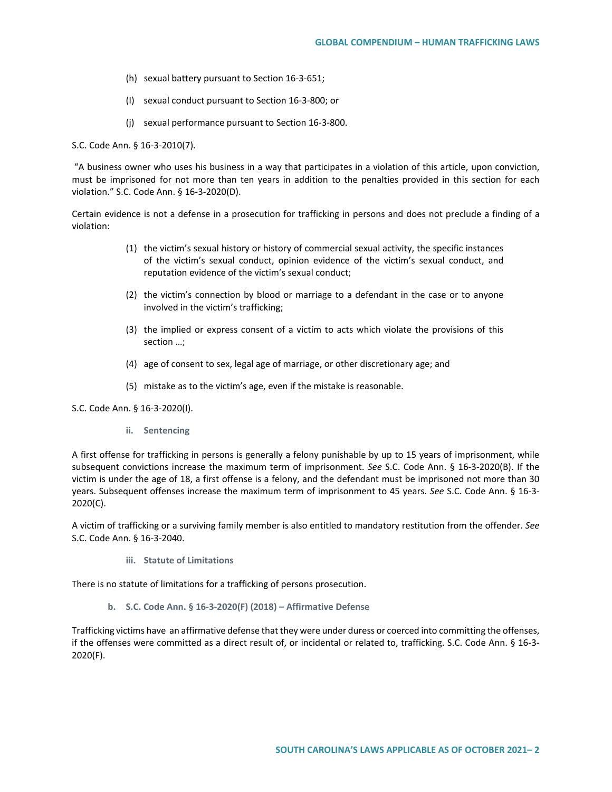- (h) sexual battery pursuant to Section 16-3-651;
- (I) sexual conduct pursuant to Section 16-3-800; or
- (j) sexual performance pursuant to Section 16-3-800.

S.C. Code Ann. § 16-3-2010(7).

"A business owner who uses his business in a way that participates in a violation of this article, upon conviction, must be imprisoned for not more than ten years in addition to the penalties provided in this section for each violation." S.C. Code Ann. § 16-3-2020(D).

Certain evidence is not a defense in a prosecution for trafficking in persons and does not preclude a finding of a violation:

- (1) the victim's sexual history or history of commercial sexual activity, the specific instances of the victim's sexual conduct, opinion evidence of the victim's sexual conduct, and reputation evidence of the victim's sexual conduct;
- (2) the victim's connection by blood or marriage to a defendant in the case or to anyone involved in the victim's trafficking;
- (3) the implied or express consent of a victim to acts which violate the provisions of this section …;
- (4) age of consent to sex, legal age of marriage, or other discretionary age; and
- (5) mistake as to the victim's age, even if the mistake is reasonable.

S.C. Code Ann. § 16-3-2020(I).

**ii. Sentencing**

A first offense for trafficking in persons is generally a felony punishable by up to 15 years of imprisonment, while subsequent convictions increase the maximum term of imprisonment. *See* S.C. Code Ann. § 16-3-2020(B). If the victim is under the age of 18, a first offense is a felony, and the defendant must be imprisoned not more than 30 years. Subsequent offenses increase the maximum term of imprisonment to 45 years. *See* S.C. Code Ann. § 16-3- 2020(C).

A victim of trafficking or a surviving family member is also entitled to mandatory restitution from the offender. *See* S.C. Code Ann. § 16-3-2040.

**iii. Statute of Limitations**

There is no statute of limitations for a trafficking of persons prosecution.

**b. S.C. Code Ann. § 16-3-2020(F) (2018) – Affirmative Defense**

Trafficking victims have an affirmative defense that they were under duress or coerced into committing the offenses, if the offenses were committed as a direct result of, or incidental or related to, trafficking. S.C. Code Ann. § 16-3- 2020(F).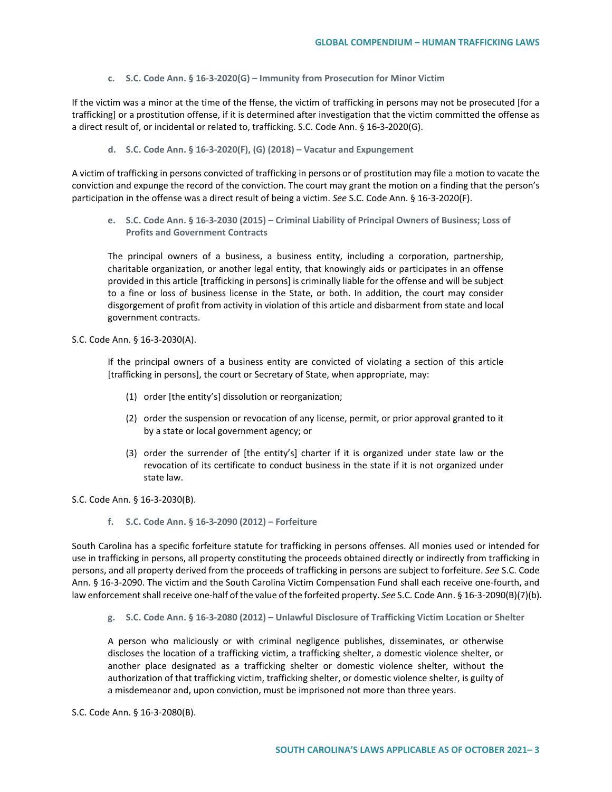**c. S.C. Code Ann. § 16-3-2020(G) – Immunity from Prosecution for Minor Victim**

If the victim was a minor at the time of the ffense, the victim of trafficking in persons may not be prosecuted [for a trafficking] or a prostitution offense, if it is determined after investigation that the victim committed the offense as a direct result of, or incidental or related to, trafficking. S.C. Code Ann. § 16-3-2020(G).

**d. S.C. Code Ann. § 16-3-2020(F), (G) (2018) – Vacatur and Expungement**

A victim of trafficking in persons convicted of trafficking in persons or of prostitution may file a motion to vacate the conviction and expunge the record of the conviction. The court may grant the motion on a finding that the person's participation in the offense was a direct result of being a victim. *See* S.C. Code Ann. § 16-3-2020(F).

**e. S.C. Code Ann. § 16-3-2030 (2015) – Criminal Liability of Principal Owners of Business; Loss of Profits and Government Contracts**

The principal owners of a business, a business entity, including a corporation, partnership, charitable organization, or another legal entity, that knowingly aids or participates in an offense provided in this article [trafficking in persons] is criminally liable for the offense and will be subject to a fine or loss of business license in the State, or both. In addition, the court may consider disgorgement of profit from activity in violation of this article and disbarment from state and local government contracts.

S.C. Code Ann. § 16-3-2030(A).

If the principal owners of a business entity are convicted of violating a section of this article [trafficking in persons], the court or Secretary of State, when appropriate, may:

- (1) order [the entity's] dissolution or reorganization;
- (2) order the suspension or revocation of any license, permit, or prior approval granted to it by a state or local government agency; or
- (3) order the surrender of [the entity's] charter if it is organized under state law or the revocation of its certificate to conduct business in the state if it is not organized under state law.

S.C. Code Ann. § 16-3-2030(B).

**f. S.C. Code Ann. § 16-3-2090 (2012) – Forfeiture**

South Carolina has a specific forfeiture statute for trafficking in persons offenses. All monies used or intended for use in trafficking in persons, all property constituting the proceeds obtained directly or indirectly from trafficking in persons, and all property derived from the proceeds of trafficking in persons are subject to forfeiture. *See* S.C. Code Ann. § 16-3-2090. The victim and the South Carolina Victim Compensation Fund shall each receive one-fourth, and law enforcement shall receive one-half of the value of the forfeited property. *See* S.C. Code Ann. § 16-3-2090(B)(7)(b).

**g. S.C. Code Ann. § 16-3-2080 (2012) – Unlawful Disclosure of Trafficking Victim Location or Shelter**

A person who maliciously or with criminal negligence publishes, disseminates, or otherwise discloses the location of a trafficking victim, a trafficking shelter, a domestic violence shelter, or another place designated as a trafficking shelter or domestic violence shelter, without the authorization of that trafficking victim, trafficking shelter, or domestic violence shelter, is guilty of a misdemeanor and, upon conviction, must be imprisoned not more than three years.

S.C. Code Ann. § 16-3-2080(B).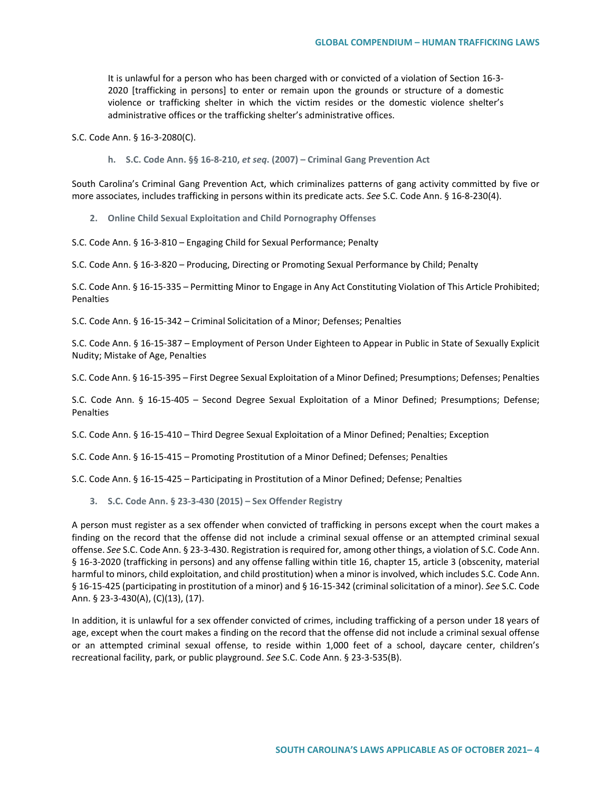It is unlawful for a person who has been charged with or convicted of a violation of Section 16-3- 2020 [trafficking in persons] to enter or remain upon the grounds or structure of a domestic violence or trafficking shelter in which the victim resides or the domestic violence shelter's administrative offices or the trafficking shelter's administrative offices.

S.C. Code Ann. § 16-3-2080(C).

**h. S.C. Code Ann. §§ 16-8-210,** *et seq***. (2007) – Criminal Gang Prevention Act**

South Carolina's Criminal Gang Prevention Act, which criminalizes patterns of gang activity committed by five or more associates, includes trafficking in persons within its predicate acts. *See* S.C. Code Ann. § 16-8-230(4).

**2. Online Child Sexual Exploitation and Child Pornography Offenses**

S.C. Code Ann. § 16-3-810 – Engaging Child for Sexual Performance; Penalty

S.C. Code Ann. § 16-3-820 – Producing, Directing or Promoting Sexual Performance by Child; Penalty

S.C. Code Ann. § 16-15-335 – Permitting Minor to Engage in Any Act Constituting Violation of This Article Prohibited; **Penalties** 

S.C. Code Ann. § 16-15-342 – Criminal Solicitation of a Minor; Defenses; Penalties

S.C. Code Ann. § 16-15-387 – Employment of Person Under Eighteen to Appear in Public in State of Sexually Explicit Nudity; Mistake of Age, Penalties

S.C. Code Ann. § 16-15-395 – First Degree Sexual Exploitation of a Minor Defined; Presumptions; Defenses; Penalties

S.C. Code Ann. § 16-15-405 – Second Degree Sexual Exploitation of a Minor Defined; Presumptions; Defense; Penalties

S.C. Code Ann. § 16-15-410 – Third Degree Sexual Exploitation of a Minor Defined; Penalties; Exception

S.C. Code Ann. § 16-15-415 – Promoting Prostitution of a Minor Defined; Defenses; Penalties

S.C. Code Ann. § 16-15-425 – Participating in Prostitution of a Minor Defined; Defense; Penalties

**3. S.C. Code Ann. § 23-3-430 (2015) – Sex Offender Registry**

A person must register as a sex offender when convicted of trafficking in persons except when the court makes a finding on the record that the offense did not include a criminal sexual offense or an attempted criminal sexual offense. *See* S.C. Code Ann. § 23-3-430. Registration is required for, among other things, a violation of S.C. Code Ann. § 16-3-2020 (trafficking in persons) and any offense falling within title 16, chapter 15, article 3 (obscenity, material harmful to minors, child exploitation, and child prostitution) when a minor is involved, which includes S.C. Code Ann. § 16-15-425 (participating in prostitution of a minor) and § 16-15-342 (criminal solicitation of a minor). *See* S.C. Code Ann. § 23-3-430(A), (C)(13), (17).

In addition, it is unlawful for a sex offender convicted of crimes, including trafficking of a person under 18 years of age, except when the court makes a finding on the record that the offense did not include a criminal sexual offense or an attempted criminal sexual offense, to reside within 1,000 feet of a school, daycare center, children's recreational facility, park, or public playground. *See* S.C. Code Ann. § 23-3-535(B).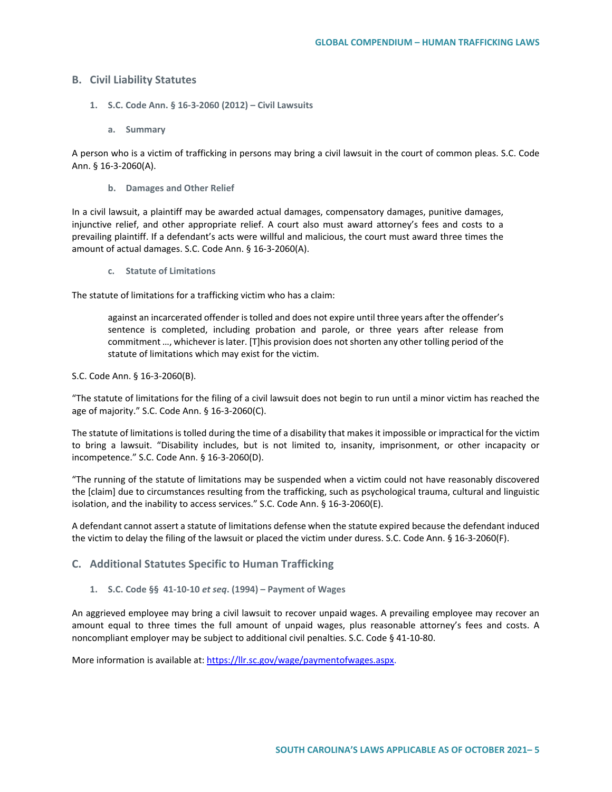## **B. Civil Liability Statutes**

- **1. S.C. Code Ann. § 16-3-2060 (2012) – Civil Lawsuits**
	- **a. Summary**

A person who is a victim of trafficking in persons may bring a civil lawsuit in the court of common pleas. S.C. Code Ann. § 16-3-2060(A).

**b. Damages and Other Relief**

In a civil lawsuit, a plaintiff may be awarded actual damages, compensatory damages, punitive damages, injunctive relief, and other appropriate relief. A court also must award attorney's fees and costs to a prevailing plaintiff. If a defendant's acts were willful and malicious, the court must award three times the amount of actual damages. S.C. Code Ann. § 16-3-2060(A).

**c. Statute of Limitations**

The statute of limitations for a trafficking victim who has a claim:

against an incarcerated offender is tolled and does not expire until three years after the offender's sentence is completed, including probation and parole, or three years after release from commitment …, whichever is later. [T]his provision does not shorten any other tolling period of the statute of limitations which may exist for the victim.

S.C. Code Ann. § 16-3-2060(B).

"The statute of limitations for the filing of a civil lawsuit does not begin to run until a minor victim has reached the age of majority." S.C. Code Ann. § 16-3-2060(C).

The statute of limitations is tolled during the time of a disability that makes it impossible or impractical for the victim to bring a lawsuit. "Disability includes, but is not limited to, insanity, imprisonment, or other incapacity or incompetence." S.C. Code Ann. § 16-3-2060(D).

"The running of the statute of limitations may be suspended when a victim could not have reasonably discovered the [claim] due to circumstances resulting from the trafficking, such as psychological trauma, cultural and linguistic isolation, and the inability to access services." S.C. Code Ann. § 16-3-2060(E).

A defendant cannot assert a statute of limitations defense when the statute expired because the defendant induced the victim to delay the filing of the lawsuit or placed the victim under duress. S.C. Code Ann. § 16-3-2060(F).

# **C. Additional Statutes Specific to Human Trafficking**

#### **1. S.C. Code §§ 41-10-10** *et seq***. (1994) – Payment of Wages**

An aggrieved employee may bring a civil lawsuit to recover unpaid wages. A prevailing employee may recover an amount equal to three times the full amount of unpaid wages, plus reasonable attorney's fees and costs. A noncompliant employer may be subject to additional civil penalties. S.C. Code § 41-10-80.

More information is available at: [https://llr.sc.gov/wage/paymentofwages.aspx.](https://llr.sc.gov/wage/paymentofwages.aspx)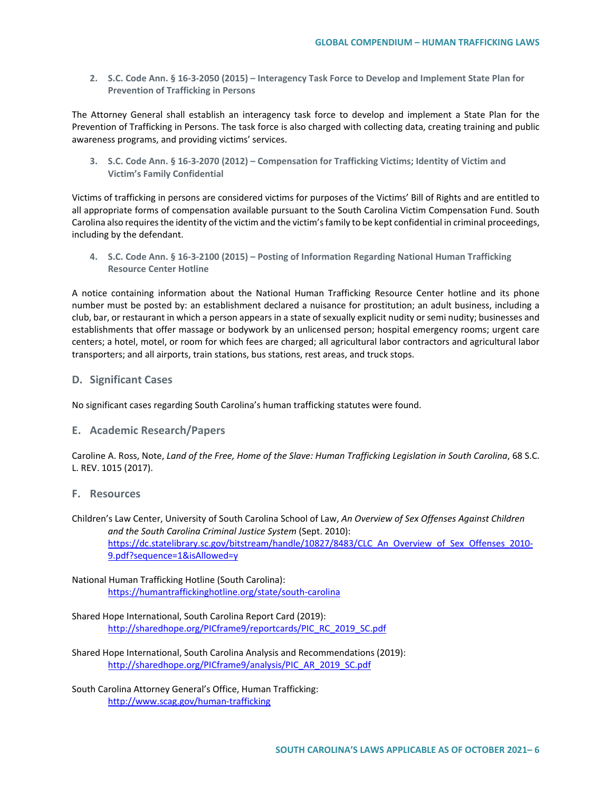**2. S.C. Code Ann. § 16-3-2050 (2015) – Interagency Task Force to Develop and Implement State Plan for Prevention of Trafficking in Persons**

The Attorney General shall establish an interagency task force to develop and implement a State Plan for the Prevention of Trafficking in Persons. The task force is also charged with collecting data, creating training and public awareness programs, and providing victims' services.

**3. S.C. Code Ann. § 16-3-2070 (2012) – Compensation for Trafficking Victims; Identity of Victim and Victim's Family Confidential**

Victims of trafficking in persons are considered victims for purposes of the Victims' Bill of Rights and are entitled to all appropriate forms of compensation available pursuant to the South Carolina Victim Compensation Fund. South Carolina also requires the identity of the victim and the victim's family to be kept confidential in criminal proceedings, including by the defendant.

**4. S.C. Code Ann. § 16-3-2100 (2015) – Posting of Information Regarding National Human Trafficking Resource Center Hotline** 

A notice containing information about the National Human Trafficking Resource Center hotline and its phone number must be posted by: an establishment declared a nuisance for prostitution; an adult business, including a club, bar, or restaurant in which a person appears in a state of sexually explicit nudity or semi nudity; businesses and establishments that offer massage or bodywork by an unlicensed person; hospital emergency rooms; urgent care centers; a hotel, motel, or room for which fees are charged; all agricultural labor contractors and agricultural labor transporters; and all airports, train stations, bus stations, rest areas, and truck stops.

## **D. Significant Cases**

No significant cases regarding South Carolina's human trafficking statutes were found.

### **E. Academic Research/Papers**

Caroline A. Ross, Note, *Land of the Free, Home of the Slave: Human Trafficking Legislation in South Carolina*, 68 S.C. L. REV. 1015 (2017).

#### **F. Resources**

Children's Law Center, University of South Carolina School of Law, *An Overview of Sex Offenses Against Children and the South Carolina Criminal Justice System* (Sept. 2010): [https://dc.statelibrary.sc.gov/bitstream/handle/10827/8483/CLC\\_An\\_Overview\\_of\\_Sex\\_Offenses\\_2010-](https://dc.statelibrary.sc.gov/bitstream/handle/10827/8483/CLC_An_Overview_of_Sex_Offenses_2010-9.pdf?sequence=1&isAllowed=y) [9.pdf?sequence=1&isAllowed=y](https://dc.statelibrary.sc.gov/bitstream/handle/10827/8483/CLC_An_Overview_of_Sex_Offenses_2010-9.pdf?sequence=1&isAllowed=y)

National Human Trafficking Hotline (South Carolina): <https://humantraffickinghotline.org/state/south-carolina>

Shared Hope International, South Carolina Report Card (2019): [http://sharedhope.org/PICframe9/reportcards/PIC\\_RC\\_2019\\_SC.pdf](http://sharedhope.org/PICframe9/reportcards/PIC_RC_2019_SC.pdf)

Shared Hope International, South Carolina Analysis and Recommendations (2019): [http://sharedhope.org/PICframe9/analysis/PIC\\_AR\\_2019\\_SC.pdf](http://sharedhope.org/PICframe9/analysis/PIC_AR_2019_SC.pdf)

South Carolina Attorney General's Office, Human Trafficking: <http://www.scag.gov/human-trafficking>